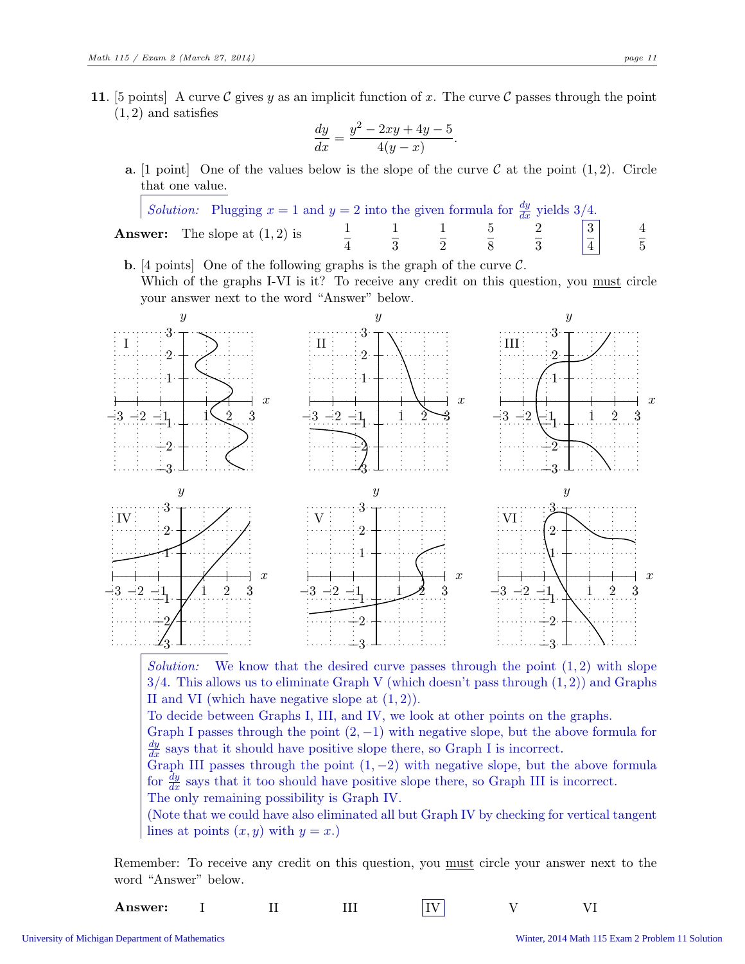11. [5 points] A curve C gives y as an implicit function of x. The curve C passes through the point  $(1, 2)$  and satisfies

$$
\frac{dy}{dx} = \frac{y^2 - 2xy + 4y - 5}{4(y - x)}.
$$

**a.** [1 point] One of the values below is the slope of the curve  $\mathcal{C}$  at the point  $(1, 2)$ . Circle that one value.

|  |                                         | <i>Solution:</i> Plugging $x = 1$ and $y = 2$ into the given formula for $\frac{dy}{dx}$ yields 3/4. |                       |  |                |
|--|-----------------------------------------|------------------------------------------------------------------------------------------------------|-----------------------|--|----------------|
|  | <b>Answer:</b> The slope at $(1, 2)$ is |                                                                                                      | $1 \qquad 1 \qquad 5$ |  | $\overline{5}$ |

**b.** [4 points] One of the following graphs is the graph of the curve  $\mathcal{C}$ . Which of the graphs I-VI is it? To receive any credit on this question, you must circle your answer next to the word "Answer" below.



Solution: We know that the desired curve passes through the point  $(1, 2)$  with slope  $3/4$ . This allows us to eliminate Graph V (which doesn't pass through  $(1, 2)$ ) and Graphs II and VI (which have negative slope at  $(1, 2)$ ).

To decide between Graphs I, III, and IV, we look at other points on the graphs.

Graph I passes through the point  $(2, -1)$  with negative slope, but the above formula for  $\frac{dy}{dx}$  says that it should have positive slope there, so Graph I is incorrect.

Graph III passes through the point  $(1, -2)$  with negative slope, but the above formula for  $\frac{dy}{dx}$  says that it too should have positive slope there, so Graph III is incorrect.

The only remaining possibility is Graph IV.

(Note that we could have also eliminated all but Graph IV by checking for vertical tangent lines at points  $(x, y)$  with  $y = x$ .

Remember: To receive any credit on this question, you must circle your answer next to the word "Answer" below.

Answer: I II III IV V VI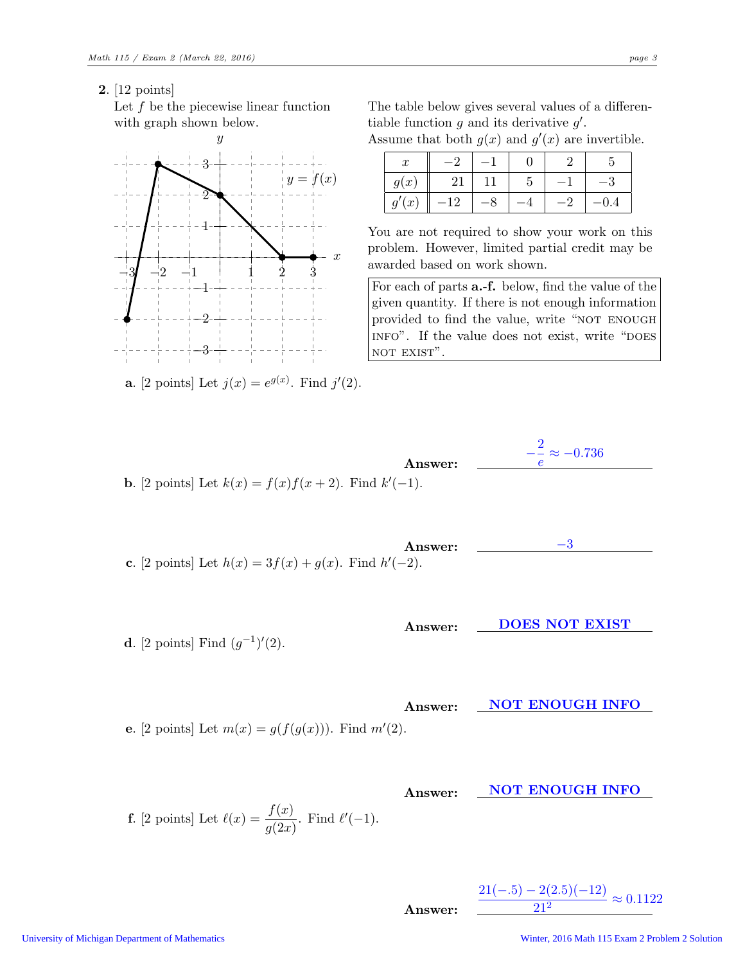2. [12 points]

Let  $f$  be the piecewise linear function with graph shown below.



**a**. [2 points] Let  $j(x) = e^{g(x)}$ . Find  $j'(2)$ .

The table below gives several values of a differentiable function  $g$  and its derivative  $g'$ . Assume that both  $g(x)$  and  $g'(x)$  are invertible.

| $\boldsymbol{x}$  |            |   |           |
|-------------------|------------|---|-----------|
| q(x)              | 21         | G | $-\sigma$ |
| (x <sup>2</sup> ) | $1 \Omega$ |   |           |

You are not required to show your work on this problem. However, limited partial credit may be awarded based on work shown.

For each of parts a.-f. below, find the value of the given quantity. If there is not enough information provided to find the value, write "NOT ENOUGH INFO". If the value does not exist, write "DOES NOT EXIST".